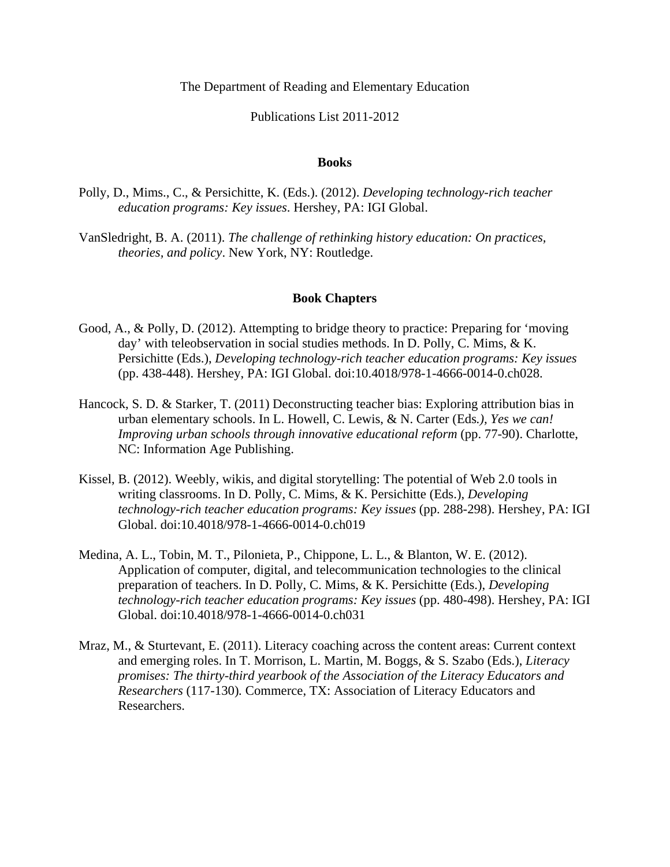## The Department of Reading and Elementary Education

# Publications List 2011-2012

#### **Books**

- Polly, D., Mims., C., & Persichitte, K. (Eds.). (2012). *Developing technology-rich teacher education programs: Key issues*. Hershey, PA: IGI Global.
- VanSledright, B. A. (2011). *The challenge of rethinking history education: On practices, theories, and policy*. New York, NY: Routledge.

## **Book Chapters**

- Good, A., & Polly, D. (2012). Attempting to bridge theory to practice: Preparing for 'moving day' with teleobservation in social studies methods. In D. Polly, C. Mims, & K. Persichitte (Eds.), *Developing technology-rich teacher education programs: Key issues* (pp. 438-448). Hershey, PA: IGI Global. doi:10.4018/978-1-4666-0014-0.ch028.
- Hancock, S. D. & Starker, T. (2011) Deconstructing teacher bias: Exploring attribution bias in urban elementary schools. In L. Howell, C. Lewis, & N. Carter (Eds*.), Yes we can! Improving urban schools through innovative educational reform* (pp. 77-90). Charlotte, NC: Information Age Publishing.
- Kissel, B. (2012). Weebly, wikis, and digital storytelling: The potential of Web 2.0 tools in writing classrooms. In D. Polly, C. Mims, & K. Persichitte (Eds.), *Developing technology-rich teacher education programs: Key issues* (pp. 288-298). Hershey, PA: IGI Global. doi:10.4018/978-1-4666-0014-0.ch019
- Medina, A. L., Tobin, M. T., Pilonieta, P., Chippone, L. L., & Blanton, W. E. (2012). Application of computer, digital, and telecommunication technologies to the clinical preparation of teachers. In D. Polly, C. Mims, & K. Persichitte (Eds.), *Developing technology-rich teacher education programs: Key issues* (pp. 480-498). Hershey, PA: IGI Global. doi:10.4018/978-1-4666-0014-0.ch031
- Mraz, M., & Sturtevant, E. (2011). Literacy coaching across the content areas: Current context and emerging roles. In T. Morrison, L. Martin, M. Boggs, & S. Szabo (Eds.), *Literacy promises: The thirty-third yearbook of the Association of the Literacy Educators and Researchers* (117-130)*.* Commerce, TX: Association of Literacy Educators and Researchers.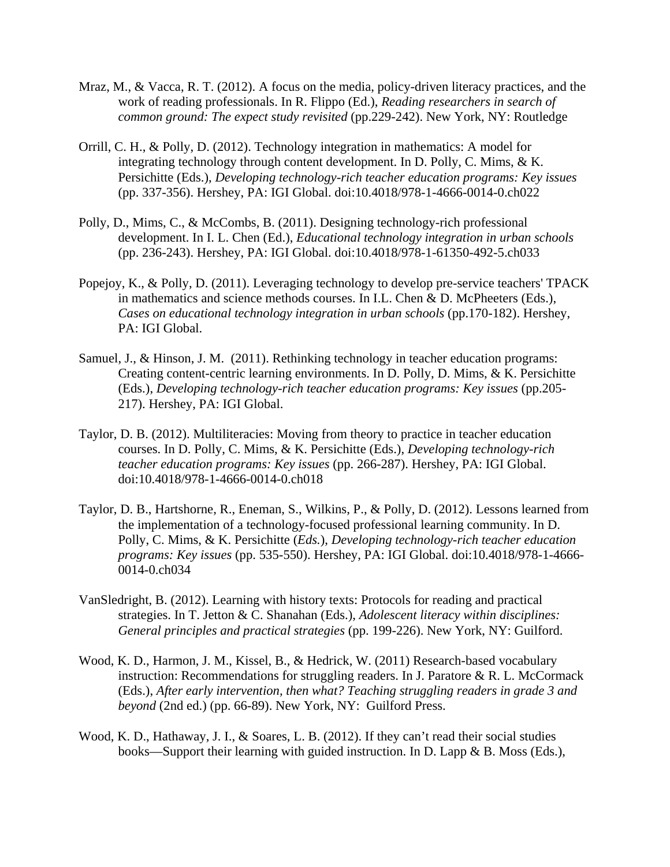- Mraz, M., & Vacca, R. T. (2012). A focus on the media, policy-driven literacy practices, and the work of reading professionals. In R. Flippo (Ed.), *Reading researchers in search of common ground: The expect study revisited (pp.229-242). New York, NY: Routledge*
- Orrill, C. H., & Polly, D. (2012). Technology integration in mathematics: A model for integrating technology through content development. In D. Polly, C. Mims, & K. Persichitte (Eds.), *Developing technology-rich teacher education programs: Key issues*  (pp. 337-356). Hershey, PA: IGI Global. doi:10.4018/978-1-4666-0014-0.ch022
- Polly, D., Mims, C., & McCombs, B. (2011). Designing technology-rich professional development. In I. L. Chen (Ed.), *Educational technology integration in urban schools* (pp. 236-243). Hershey, PA: IGI Global. doi:10.4018/978-1-61350-492-5.ch033
- Popejoy, K., & Polly, D. (2011). Leveraging technology to develop pre-service teachers' TPACK in mathematics and science methods courses. In I.L. Chen & D. McPheeters (Eds.), *Cases on educational technology integration in urban schools* (pp.170-182). Hershey, PA: IGI Global.
- Samuel, J., & Hinson, J. M. (2011). Rethinking technology in teacher education programs: Creating content-centric learning environments. In D. Polly, D. Mims, & K. Persichitte (Eds.), *Developing technology-rich teacher education programs: Key issues* (pp.205- 217). Hershey, PA: IGI Global.
- Taylor, D. B. (2012). Multiliteracies: Moving from theory to practice in teacher education courses. In D. Polly, C. Mims, & K. Persichitte (Eds.), *Developing technology-rich teacher education programs: Key issues* (pp. 266-287). Hershey, PA: IGI Global. doi:10.4018/978-1-4666-0014-0.ch018
- Taylor, D. B., Hartshorne, R., Eneman, S., Wilkins, P., & Polly, D. (2012). Lessons learned from the implementation of a technology-focused professional learning community. In D. Polly, C. Mims, & K. Persichitte (*Eds.*), *Developing technology-rich teacher education programs: Key issues* (pp. 535-550). Hershey, PA: IGI Global. doi:10.4018/978-1-4666- 0014-0.ch034
- VanSledright, B. (2012). Learning with history texts: Protocols for reading and practical strategies. In T. Jetton & C. Shanahan (Eds.), *Adolescent literacy within disciplines: General principles and practical strategies* (pp. 199-226). New York, NY: Guilford.
- Wood, K. D., Harmon, J. M., Kissel, B., & Hedrick, W. (2011) Research-based vocabulary instruction: Recommendations for struggling readers. In J. Paratore & R. L. McCormack (Eds.), *After early intervention, then what? Teaching struggling readers in grade 3 and beyond* (2nd ed.) (pp. 66-89). New York, NY: Guilford Press.
- Wood, K. D., Hathaway, J. I., & Soares, L. B. (2012). If they can't read their social studies books—Support their learning with guided instruction. In D. Lapp & B. Moss (Eds.),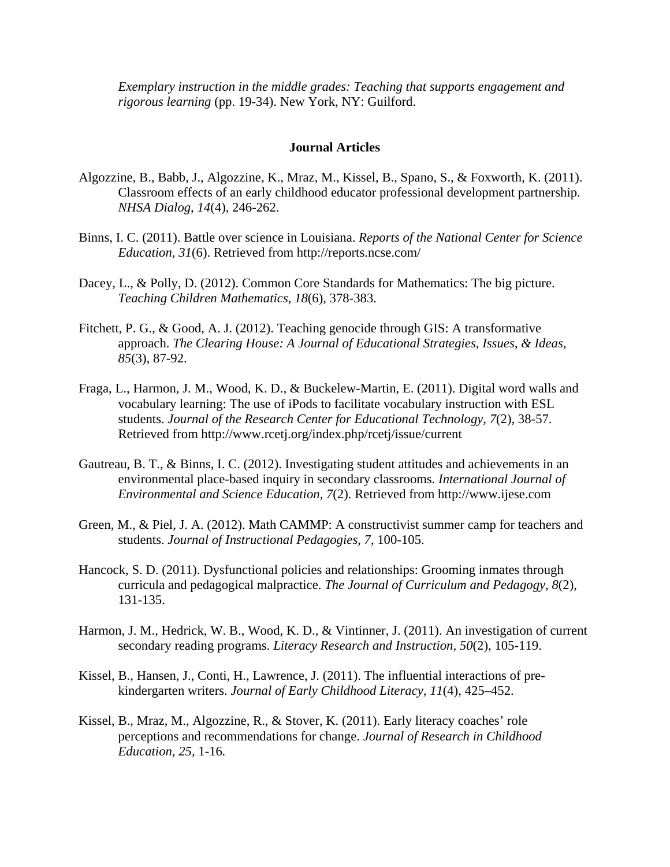*Exemplary instruction in the middle grades: Teaching that supports engagement and rigorous learning* (pp. 19-34). New York, NY: Guilford.

#### **Journal Articles**

- Algozzine, B., Babb, J., Algozzine, K., Mraz, M., Kissel, B., Spano, S., & Foxworth, K. (2011). Classroom effects of an early childhood educator professional development partnership. *NHSA Dialog*, *14*(4), 246-262.
- Binns, I. C. (2011). Battle over science in Louisiana. *Reports of the National Center for Science Education, 31*(6). Retrieved from http://reports.ncse.com/
- Dacey, L., & Polly, D. (2012). Common Core Standards for Mathematics: The big picture. *Teaching Children Mathematics*, *18*(6), 378-383.
- Fitchett, P. G., & Good, A. J. (2012). Teaching genocide through GIS: A transformative approach. *The Clearing House: A Journal of Educational Strategies, Issues, & Ideas, 85*(3), 87-92.
- Fraga, L., Harmon, J. M., Wood, K. D., & Buckelew-Martin, E. (2011). Digital word walls and vocabulary learning: The use of iPods to facilitate vocabulary instruction with ESL students. *Journal of the Research Center for Educational Technology, 7*(2), 38-57. Retrieved from http://www.rcetj.org/index.php/rcetj/issue/current
- Gautreau, B. T., & Binns, I. C. (2012). Investigating student attitudes and achievements in an environmental place-based inquiry in secondary classrooms. *International Journal of Environmental and Science Education, 7*(2). Retrieved from http://www.ijese.com
- Green, M., & Piel, J. A. (2012). Math CAMMP: A constructivist summer camp for teachers and students. *Journal of Instructional Pedagogies, 7*, 100-105.
- Hancock, S. D. (2011). Dysfunctional policies and relationships: Grooming inmates through curricula and pedagogical malpractice. *The Journal of Curriculum and Pedagogy*, *8*(2), 131-135.
- Harmon, J. M., Hedrick, W. B., Wood, K. D., & Vintinner, J. (2011). An investigation of current secondary reading programs. *Literacy Research and Instruction, 50*(2), 105-119.
- Kissel, B., Hansen, J., Conti, H., Lawrence, J. (2011). The influential interactions of prekindergarten writers. *Journal of Early Childhood Literacy, 11*(4), 425–452.
- Kissel, B., Mraz, M., Algozzine, R., & Stover, K. (2011). Early literacy coaches' role perceptions and recommendations for change. *Journal of Research in Childhood Education, 25,* 1-16*.*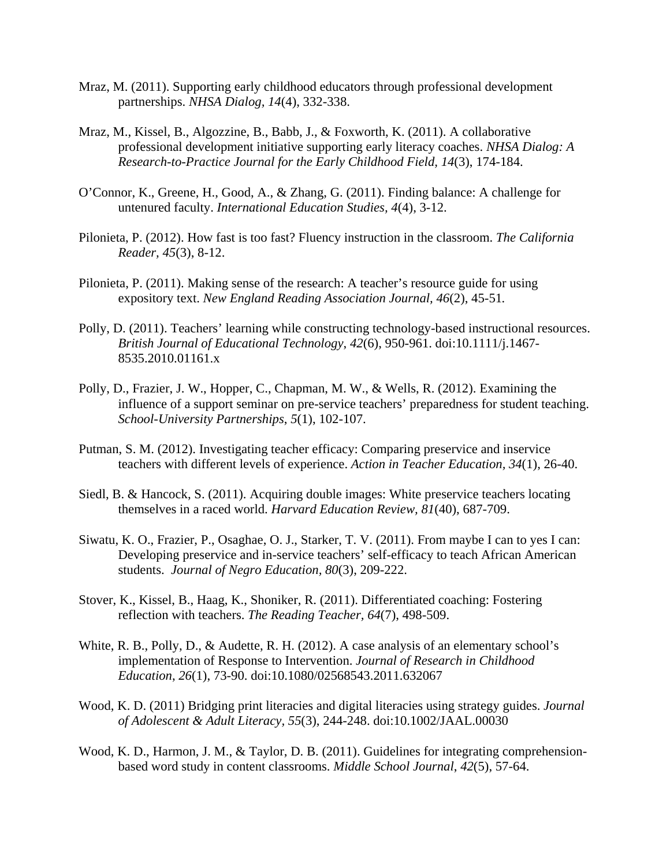- Mraz, M. (2011). Supporting early childhood educators through professional development partnerships. *NHSA Dialog, 14*(4), 332-338.
- Mraz, M., Kissel, B., Algozzine, B., Babb, J., & Foxworth, K. (2011). A collaborative professional development initiative supporting early literacy coaches. *NHSA Dialog: A Research-to-Practice Journal for the Early Childhood Field, 14*(3), 174-184.
- O'Connor, K., Greene, H., Good, A., & Zhang, G. (2011). Finding balance: A challenge for untenured faculty. *International Education Studies, 4*(4), 3-12.
- Pilonieta, P. (2012). How fast is too fast? Fluency instruction in the classroom. *The California Reader, 45*(3), 8-12.
- Pilonieta, P. (2011). Making sense of the research: A teacher's resource guide for using expository text. *New England Reading Association Journal, 46*(2), 45-51*.*
- Polly, D. (2011). Teachers' learning while constructing technology-based instructional resources. *British Journal of Educational Technology*, *42*(6), 950-961. doi:10.1111/j.1467- 8535.2010.01161.x
- Polly, D., Frazier, J. W., Hopper, C., Chapman, M. W., & Wells, R. (2012). Examining the influence of a support seminar on pre-service teachers' preparedness for student teaching. *School-University Partnerships*, *5*(1), 102-107.
- Putman, S. M. (2012). Investigating teacher efficacy: Comparing preservice and inservice teachers with different levels of experience. *Action in Teacher Education, 34*(1), 26-40.
- Siedl, B. & Hancock, S. (2011). Acquiring double images: White preservice teachers locating themselves in a raced world. *Harvard Education Review, 81*(40), 687-709.
- Siwatu, K. O., Frazier, P., Osaghae, O. J., Starker, T. V. (2011). From maybe I can to yes I can: Developing preservice and in-service teachers' self-efficacy to teach African American students. *Journal of Negro Education, 80*(3), 209-222.
- Stover, K., Kissel, B., Haag, K., Shoniker, R. (2011). Differentiated coaching: Fostering reflection with teachers. *The Reading Teacher, 64*(7), 498-509.
- White, R. B., Polly, D., & Audette, R. H. (2012). A case analysis of an elementary school's implementation of Response to Intervention. *Journal of Research in Childhood Education*, *26*(1), 73-90. doi:10.1080/02568543.2011.632067
- Wood, K. D. (2011) Bridging print literacies and digital literacies using strategy guides. *Journal of Adolescent & Adult Literacy, 55*(3), 244-248. doi:10.1002/JAAL.00030
- Wood, K. D., Harmon, J. M., & Taylor, D. B. (2011). Guidelines for integrating comprehensionbased word study in content classrooms. *Middle School Journal*, *42*(5), 57-64.